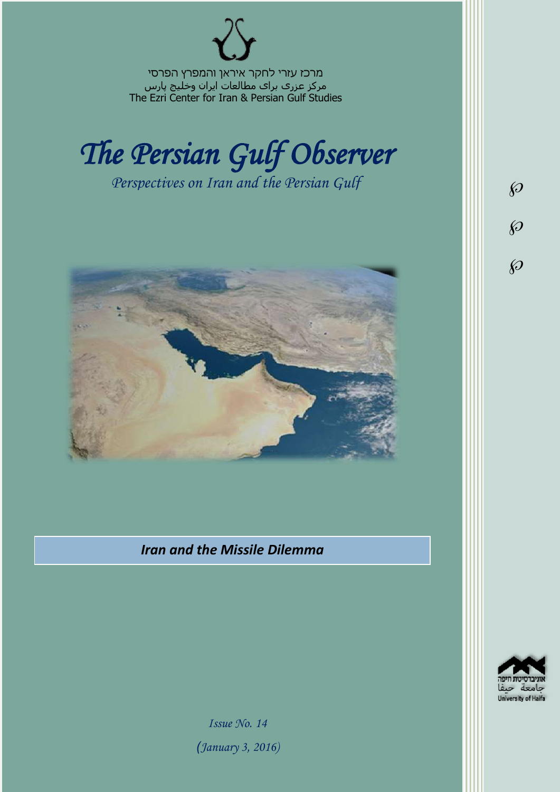מרכז עזרי לחקר איראן והמפרץ הפרסי مرکز عزری برای مطالعات ایران وخلیج پارس The Ezri Center for Iran & Persian Gulf Studies



*Perspectives on Iran and the Persian Gulf* 



 $\wp$  $\wp$  $\wp$ 

*Iran and the Missile Dilemma*



*Issue No. 14 )January 3, 2016)*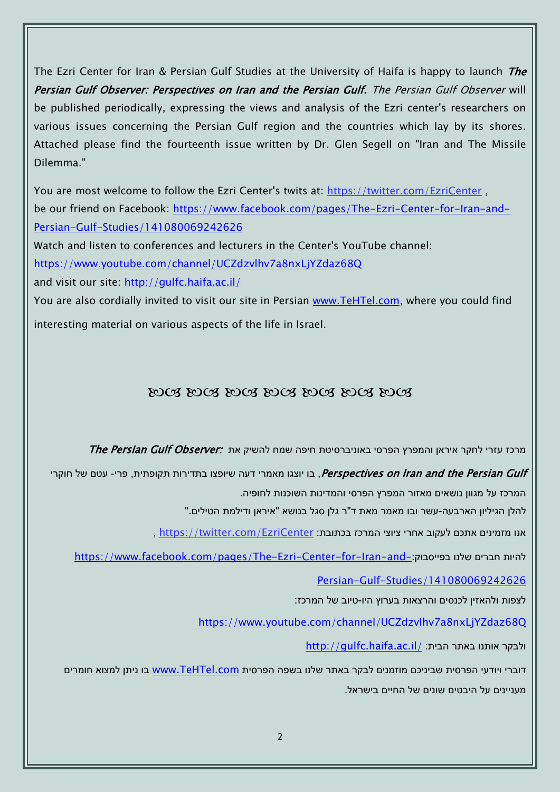The Ezri Center for Iran & Persian Gulf Studies at the University of Haifa is happy to launch The Persian Gulf Observer: Perspectives on Iran and the Persian Gulf. The Persian Gulf Observer will be published periodically, expressing the views and analysis of the Ezri center's researchers on various issues concerning the Persian Gulf region and the countries which lay by its shores. Attached please find the fourteenth issue written by Dr. Glen Segell on "Iran and The Missile Dilemma."

You are most welcome to follow the Ezri Center's twits at: <https://twitter.com/EzriCenter> , be our friend on Facebook: [https://www.facebook.com/pages/The-Ezri-Center-for-Iran-and-](https://www.facebook.com/pages/The-Ezri-Center-for-Iran-and-Persian-Gulf-Studies/141080069242626)[Persian-Gulf-Studies/141080069242626](https://www.facebook.com/pages/The-Ezri-Center-for-Iran-and-Persian-Gulf-Studies/141080069242626)

Watch and listen to conferences and lecturers in the Center's YouTube channel:

<https://www.youtube.com/channel/UCZdzvlhv7a8nxLjYZdaz68Q>

and visit our site:<http://gulfc.haifa.ac.il/>

You are also cordially invited to visit our site in Persian [www.TeHTel.com,](http://www.tehtel.com/) where you could find interesting material on various aspects of the life in Israel.

## DOG DOG DOG DOG DOG DOG DOG

תרכז עזרי לחקר איראן והמפרץ הפרסי באוניברסיטת חיפה שמח להשיק את :*The Persian Gulf Observer* 

Perspectives on Iran and the Persian Gulf, בו יוצגו מאמרי דעה שיופצו בתדירות תקופתית, פרי- עטם של חוקרי

המרכז על מגוון נושאים מאזור המפרץ הפרסי והמדינות השוכנות לחופיה.

להלן הגיליון הארבעה-עשר ובו מאמר מאת ד"ר גלן סגל בנושא "איראן ודילמת הטילים."

אנו מזמינים אתכם לעקוב אחרי ציוצי המרכז בכתובת: [EzriCenter/com.twitter://https](https://twitter.com/EzriCenter) ,

[https://www.facebook.com/pages/The-Ezri-Center-for-Iran-and-](https://www.facebook.com/pages/The-Ezri-Center-for-Iran-and-Persian-Gulf-Studies/141080069242626):כהיות חברים שלנו בפייסבוק

[Persian-Gulf-Studies/141080069242626](https://www.facebook.com/pages/The-Ezri-Center-for-Iran-and-Persian-Gulf-Studies/141080069242626)

לצפות ולהאזין לכנסים והרצאות בערוץ היו-טיוב של המרכז:

<https://www.youtube.com/channel/UCZdzvlhv7a8nxLjYZdaz68Q>

<http://gulfc.haifa.ac.il/> ולבקר אותנו באתר הבית

דוברי ויודעי הפרסית שביניכם מוזמנים לבקר באתר שלנו בשפה הפרסית [com.TeHTel.www](http://www.tehtel.com/) בו ניתן למצוא חומרים מעניינים על היבטים שונים של החיים בישראל.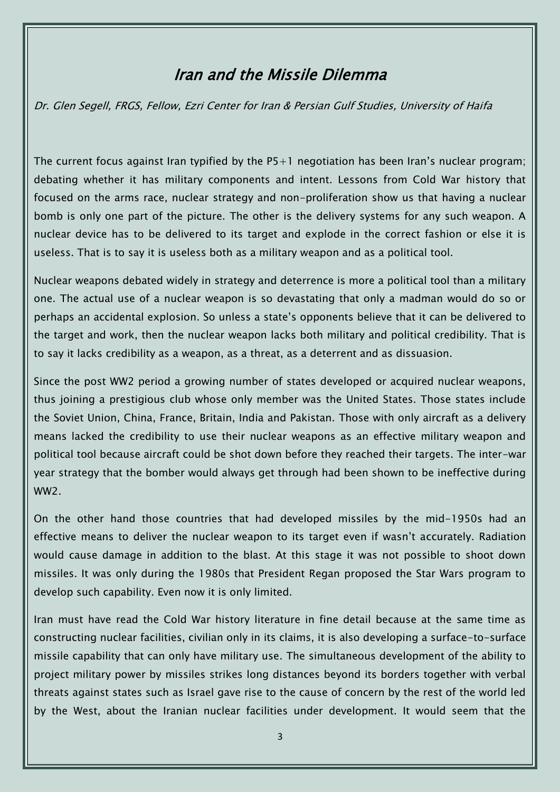## Iran and the Missile Dilemma

Dr. Glen Segell, FRGS, Fellow, Ezri Center for Iran & Persian Gulf Studies, University of Haifa

The current focus against Iran typified by the P5+1 negotiation has been Iran's nuclear program; debating whether it has military components and intent. Lessons from Cold War history that focused on the arms race, nuclear strategy and non-proliferation show us that having a nuclear bomb is only one part of the picture. The other is the delivery systems for any such weapon. A nuclear device has to be delivered to its target and explode in the correct fashion or else it is useless. That is to say it is useless both as a military weapon and as a political tool.

Nuclear weapons debated widely in strategy and deterrence is more a political tool than a military one. The actual use of a nuclear weapon is so devastating that only a madman would do so or perhaps an accidental explosion. So unless a state's opponents believe that it can be delivered to the target and work, then the nuclear weapon lacks both military and political credibility. That is to say it lacks credibility as a weapon, as a threat, as a deterrent and as dissuasion.

Since the post WW2 period a growing number of states developed or acquired nuclear weapons, thus joining a prestigious club whose only member was the United States. Those states include the Soviet Union, China, France, Britain, India and Pakistan. Those with only aircraft as a delivery means lacked the credibility to use their nuclear weapons as an effective military weapon and political tool because aircraft could be shot down before they reached their targets. The inter-war year strategy that the bomber would always get through had been shown to be ineffective during WW2.

On the other hand those countries that had developed missiles by the mid-1950s had an effective means to deliver the nuclear weapon to its target even if wasn't accurately. Radiation would cause damage in addition to the blast. At this stage it was not possible to shoot down missiles. It was only during the 1980s that President Regan proposed the Star Wars program to develop such capability. Even now it is only limited.

Iran must have read the Cold War history literature in fine detail because at the same time as constructing nuclear facilities, civilian only in its claims, it is also developing a surface-to-surface missile capability that can only have military use. The simultaneous development of the ability to project military power by missiles strikes long distances beyond its borders together with verbal threats against states such as Israel gave rise to the cause of concern by the rest of the world led by the West, about the Iranian nuclear facilities under development. It would seem that the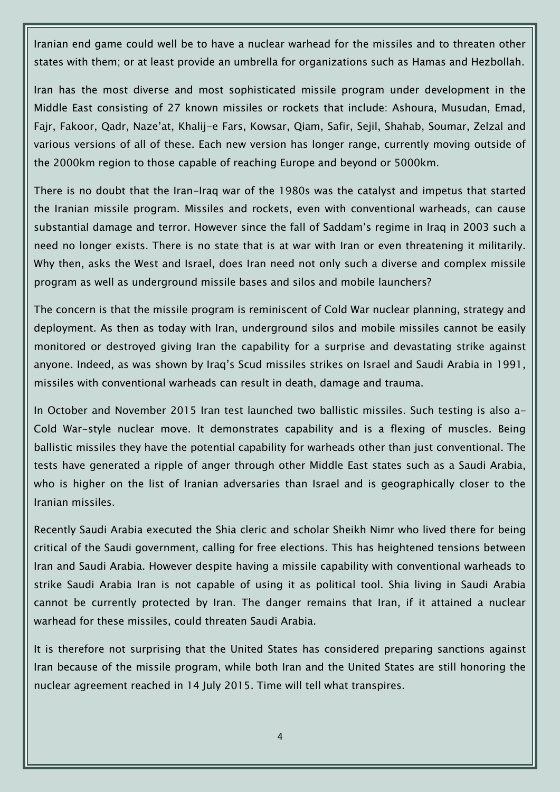Iranian end game could well be to have a nuclear warhead for the missiles and to threaten other states with them; or at least provide an umbrella for organizations such as Hamas and Hezbollah.

Iran has the most diverse and most sophisticated missile program under development in the Middle East consisting of 27 known missiles or rockets that include: Ashoura, Musudan, Emad, Fajr, Fakoor, Qadr, Naze'at, Khalij-e Fars, Kowsar, Qiam, Safir, Sejil, Shahab, Soumar, Zelzal and various versions of all of these. Each new version has longer range, currently moving outside of the 2000km region to those capable of reaching Europe and beyond or 5000km.

There is no doubt that the Iran-Iraq war of the 1980s was the catalyst and impetus that started the Iranian missile program. Missiles and rockets, even with conventional warheads, can cause substantial damage and terror. However since the fall of Saddam's regime in Iraq in 2003 such a need no longer exists. There is no state that is at war with Iran or even threatening it militarily. Why then, asks the West and Israel, does Iran need not only such a diverse and complex missile program as well as underground missile bases and silos and mobile launchers?

The concern is that the missile program is reminiscent of Cold War nuclear planning, strategy and deployment. As then as today with Iran, underground silos and mobile missiles cannot be easily monitored or destroyed giving Iran the capability for a surprise and devastating strike against anyone. Indeed, as was shown by Iraq's Scud missiles strikes on Israel and Saudi Arabia in 1991, missiles with conventional warheads can result in death, damage and trauma.

In October and November 2015 Iran test launched two ballistic missiles. Such testing is also a-Cold War-style nuclear move. It demonstrates capability and is a flexing of muscles. Being ballistic missiles they have the potential capability for warheads other than just conventional. The tests have generated a ripple of anger through other Middle East states such as a Saudi Arabia, who is higher on the list of Iranian adversaries than Israel and is geographically closer to the Iranian missiles.

Recently Saudi Arabia executed the Shia cleric and scholar Sheikh Nimr who lived there for being critical of the Saudi government, calling for free elections. This has heightened tensions between Iran and Saudi Arabia. However despite having a missile capability with conventional warheads to strike Saudi Arabia Iran is not capable of using it as political tool. Shia living in Saudi Arabia cannot be currently protected by Iran. The danger remains that Iran, if it attained a nuclear warhead for these missiles, could threaten Saudi Arabia.

It is therefore not surprising that the United States has considered preparing sanctions against Iran because of the missile program, while both Iran and the United States are still honoring the nuclear agreement reached in 14 July 2015. Time will tell what transpires.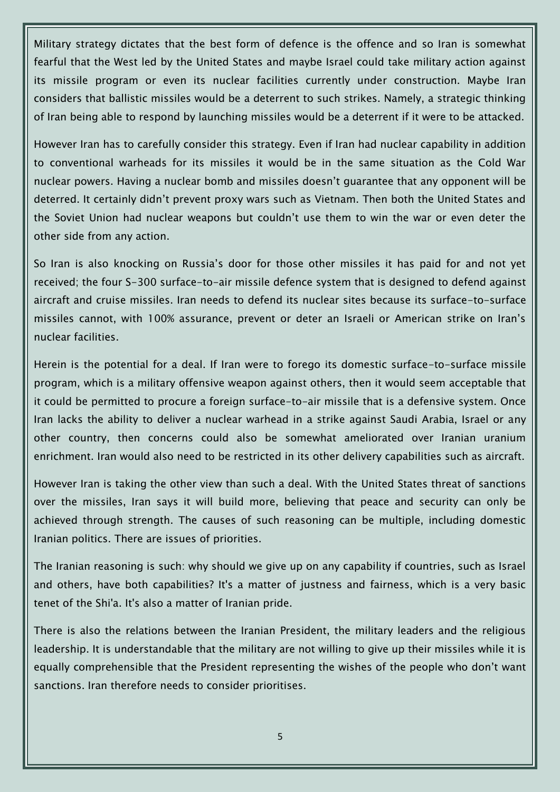Military strategy dictates that the best form of defence is the offence and so Iran is somewhat fearful that the West led by the United States and maybe Israel could take military action against its missile program or even its nuclear facilities currently under construction. Maybe Iran considers that ballistic missiles would be a deterrent to such strikes. Namely, a strategic thinking of Iran being able to respond by launching missiles would be a deterrent if it were to be attacked.

However Iran has to carefully consider this strategy. Even if Iran had nuclear capability in addition to conventional warheads for its missiles it would be in the same situation as the Cold War nuclear powers. Having a nuclear bomb and missiles doesn't guarantee that any opponent will be deterred. It certainly didn't prevent proxy wars such as Vietnam. Then both the United States and the Soviet Union had nuclear weapons but couldn't use them to win the war or even deter the other side from any action.

So Iran is also knocking on Russia's door for those other missiles it has paid for and not yet received; the four S-300 surface-to-air missile defence system that is designed to defend against aircraft and cruise missiles. Iran needs to defend its nuclear sites because its surface-to-surface missiles cannot, with 100% assurance, prevent or deter an Israeli or American strike on Iran's nuclear facilities.

Herein is the potential for a deal. If Iran were to forego its domestic surface-to-surface missile program, which is a military offensive weapon against others, then it would seem acceptable that it could be permitted to procure a foreign surface-to-air missile that is a defensive system. Once Iran lacks the ability to deliver a nuclear warhead in a strike against Saudi Arabia, Israel or any other country, then concerns could also be somewhat ameliorated over Iranian uranium enrichment. Iran would also need to be restricted in its other delivery capabilities such as aircraft.

However Iran is taking the other view than such a deal. With the United States threat of sanctions over the missiles, Iran says it will build more, believing that peace and security can only be achieved through strength. The causes of such reasoning can be multiple, including domestic Iranian politics. There are issues of priorities.

The Iranian reasoning is such: why should we give up on any capability if countries, such as Israel and others, have both capabilities? It's a matter of justness and fairness, which is a very basic tenet of the Shi'a. It's also a matter of Iranian pride.

There is also the relations between the Iranian President, the military leaders and the religious leadership. It is understandable that the military are not willing to give up their missiles while it is equally comprehensible that the President representing the wishes of the people who don't want sanctions. Iran therefore needs to consider prioritises.